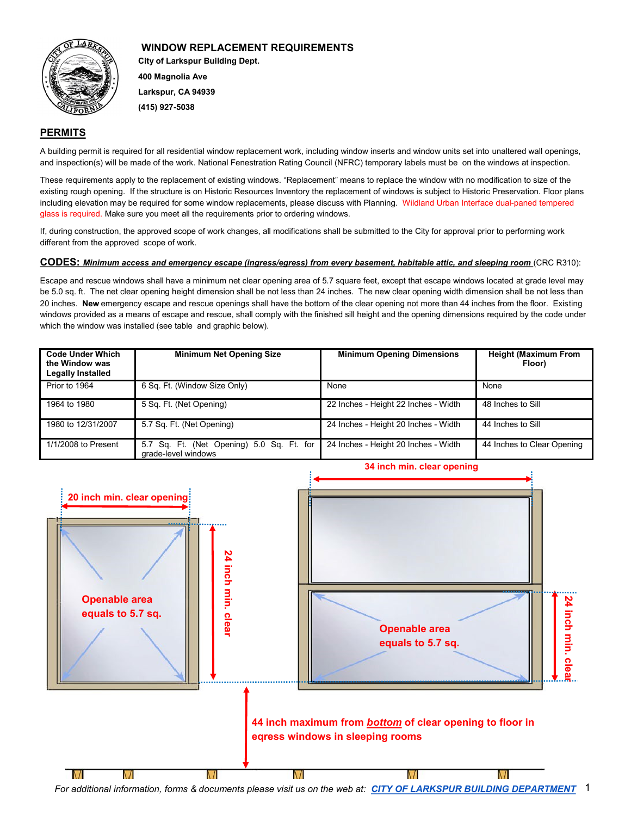

# **City of Larkspur Building Dept. 400 Magnolia Ave Larkspur, CA 94939 WINDOW REPLACEMENT REQUIREMENTS**

**(415) 927-5038**

## **PERMITS**

A building permit is required for all residential window replacement work, including window inserts and window units set into unaltered wall openings, and inspection(s) will be made of the work. National Fenestration Rating Council (NFRC) temporary labels must be on the windows at inspection.

These requirements apply to the replacement of existing windows. "Replacement" means to replace the window with no modification to size of the existing rough opening. If the structure is on Historic Resources Inventory the replacement of windows is subject to Historic Preservation. Floor plans including elevation may be required for some window replacements, please discuss with Planning. Wildland Urban Interface dual-paned tempered glass is required. Make sure you meet all the requirements prior to ordering windows.

If, during construction, the approved scope of work changes, all modifications shall be submitted to the City for approval prior to performing work different from the approved scope of work.

#### **CODES:** *Minimum access and emergency escape (ingress/egress) from every basement, habitable attic, and sleeping room* (CRC R310):

Escape and rescue windows shall have a minimum net clear opening area of 5.7 square feet, except that escape windows located at grade level may be 5.0 sq. ft. The net clear opening height dimension shall be not less than 24 inches. The new clear opening width dimension shall be not less than 20 inches. **New** emergency escape and rescue openings shall have the bottom of the clear opening not more than 44 inches from the floor. Existing windows provided as a means of escape and rescue, shall comply with the finished sill height and the opening dimensions required by the code under which the window was installed (see table and graphic below).

| <b>Code Under Which</b><br>the Window was<br><b>Legally Installed</b> | <b>Minimum Net Opening Size</b>                                  | <b>Minimum Opening Dimensions</b>    | <b>Height (Maximum From</b><br>Floor) |
|-----------------------------------------------------------------------|------------------------------------------------------------------|--------------------------------------|---------------------------------------|
| Prior to 1964                                                         | 6 Sq. Ft. (Window Size Only)                                     | None                                 | None                                  |
| 1964 to 1980                                                          | 5 Sq. Ft. (Net Opening)                                          | 22 Inches - Height 22 Inches - Width | 48 Inches to Sill                     |
| 1980 to 12/31/2007                                                    | 5.7 Sq. Ft. (Net Opening)                                        | 24 Inches - Height 20 Inches - Width | 44 Inches to Sill                     |
| 1/1/2008 to Present                                                   | 5.7 Sq. Ft. (Net Opening) 5.0 Sq. Ft. for<br>grade-level windows | 24 Inches - Height 20 Inches - Width | 44 Inches to Clear Opening            |



1 *For additional information, forms & documents please visit us on the web at: [CITY OF LARKSPUR BUILDING DEPARTMENT](https://www.ci.larkspur.ca.us/91/Building)*